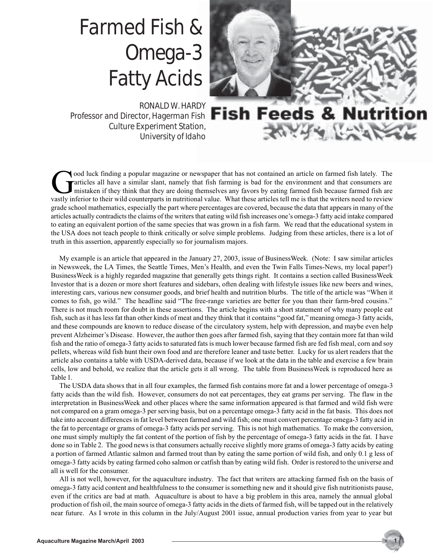## Farmed Fish & Omega-3 Fatty Acids

RONALD W. HARDY Professor and Director, Hagerman Fish **Fish Feeds &** Culture Experiment Station, University of Idaho



 $-2\pi$ 

ood luck finding a popular magazine or newspaper that has not contained an article on farmed fish lately. The articles all have a similar slant, namely that fish farming is bad for the environment and that consumers are mi articles all have a similar slant, namely that fish farming is bad for the environment and that consumers are mistaken if they think that they are doing themselves any favors by eating farmed fish because farmed fish are vastly inferior to their wild counterparts in nutritional value. What these articles tell me is that the writers need to review grade school mathematics, especially the part where percentages are covered, because the data that appears in many of the articles actually contradicts the claims of the writers that eating wild fish increases one's omega-3 fatty acid intake compared to eating an equivalent portion of the same species that was grown in a fish farm. We read that the educational system in the USA does not teach people to think critically or solve simple problems. Judging from these articles, there is a lot of truth in this assertion, apparently especially so for journalism majors.

My example is an article that appeared in the January 27, 2003, issue of BusinessWeek. (Note: I saw similar articles in Newsweek, the LA Times, the Seattle Times, Men's Health, and even the Twin Falls Times-News, my local paper!) BusinessWeek is a highly regarded magazine that generally gets things right. It contains a section called BusinessWeek Investor that is a dozen or more short features and sidebars, often dealing with lifestyle issues like new beers and wines, interesting cars, various new consumer goods, and brief health and nutrition blurbs. The title of the article was "When it comes to fish, go wild." The headline said "The free-range varieties are better for you than their farm-bred cousins." There is not much room for doubt in these assertions. The article begins with a short statement of why many people eat fish, such as it has less fat than other kinds of meat and they think that it contains "good fat," meaning omega-3 fatty acids, and these compounds are known to reduce disease of the circulatory system, help with depression, and maybe even help prevent Alzheimer's Disease. However, the author then goes after farmed fish, saying that they contain more fat than wild fish and the ratio of omega-3 fatty acids to saturated fats is much lower because farmed fish are fed fish meal, corn and soy pellets, whereas wild fish hunt their own food and are therefore leaner and taste better. Lucky for us alert readers that the article also contains a table with USDA-derived data, because if we look at the data in the table and exercise a few brain cells, low and behold, we realize that the article gets it all wrong. The table from BusinessWeek is reproduced here as Table 1.

The USDA data shows that in all four examples, the farmed fish contains more fat and a lower percentage of omega-3 fatty acids than the wild fish. However, consumers do not eat percentages, they eat grams per serving. The flaw in the interpretation in BusinessWeek and other places where the same information appeared is that farmed and wild fish were not compared on a gram omega-3 per serving basis, but on a percentage omega-3 fatty acid in the fat basis. This does not take into account differences in fat level between farmed and wild fish; one must convert percentage omega-3 fatty acid in the fat to percentage or grams of omega-3 fatty acids per serving. This is not high mathematics. To make the conversion, one must simply multiply the fat content of the portion of fish by the percentage of omega-3 fatty acids in the fat. I have done so in Table 2. The good news is that consumers actually receive slightly more grams of omega-3 fatty acids by eating a portion of farmed Atlantic salmon and farmed trout than by eating the same portion of wild fish, and only 0.1 g less of omega-3 fatty acids by eating farmed coho salmon or catfish than by eating wild fish. Order is restored to the universe and all is well for the consumer.

All is not well, however, for the aquaculture industry. The fact that writers are attacking farmed fish on the basis of omega-3 fatty acid content and healthfulness to the consumer is something new and it should give fish nutritionists pause, even if the critics are bad at math. Aquaculture is about to have a big problem in this area, namely the annual global production of fish oil, the main source of omega-3 fatty acids in the diets of farmed fish, will be tapped out in the relatively near future. As I wrote in this column in the July/August 2001 issue, annual production varies from year to year but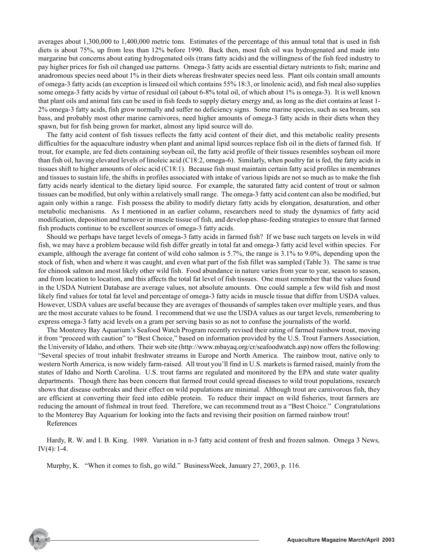averages about 1,300,000 to 1,400,000 metric tons. Estimates of the percentage of this annual total that is used in fish diets is about 75%, up from less than 12% before 1990. Back then, most fish oil was hydrogenated and made into margarine but concerns about eating hydrogenated oils (trans fatty acids) and the willingness of the fish feed industry to pay higher prices for fish oil changed use patterns. Omega-3 fatty acids are essential dietary nutrients to fish; marine and anadromous species need about 1% in their diets whereas freshwater species need less. Plant oils contain small amounts of omega-3 fatty acids (an exception is linseed oil which contains 55% 18:3, or linolenic acid), and fish meal also supplies some omega-3 fatty acids by virtue of residual oil (about 6-8% total oil, of which about 1% is omega-3). It is well known that plant oils and animal fats can be used in fish feeds to supply dietary energy and, as long as the diet contains at least 1- 2% omega-3 fatty acids, fish grow normally and suffer no deficiency signs. Some marine species, such as sea bream, sea bass, and probably most other marine carnivores, need higher amounts of omega-3 fatty acids in their diets when they spawn, but for fish being grown for market, almost any lipid source will do.

The fatty acid content of fish tissues reflects the fatty acid content of their diet, and this metabolic reality presents difficulties for the aquaculture industry when plant and animal lipid sources replace fish oil in the diets of farmed fish. If trout, for example, are fed diets containing soybean oil, the fatty acid profile of their tissues resembles soybean oil more than fish oil, having elevated levels of linoleic acid (C18:2, omega-6). Similarly, when poultry fat is fed, the fatty acids in tissues shift to higher amounts of oleic acid (C18:1). Because fish must maintain certain fatty acid profiles in membranes and tissues to sustain life, the shifts in profiles associated with intake of various lipids are not so much as to make the fish fatty acids nearly identical to the dietary lipid source. For example, the saturated fatty acid content of trout or salmon tissues can be modified, but only within a relatively small range. The omega-3 fatty acid content can also be modified, but again only within a range. Fish possess the ability to modify dietary fatty acids by elongation, desaturation, and other metabolic mechanisms. As I mentioned in an earlier column, researchers need to study the dynamics of fatty acid modification, deposition and turnover in muscle tissue of fish, and develop phase-feeding strategies to ensure that farmed fish products continue to be excellent sources of omega-3 fatty acids.

Should we perhaps have target levels of omega-3 fatty acids in farmed fish? If we base such targets on levels in wild fish, we may have a problem because wild fish differ greatly in total fat and omega-3 fatty acid level within species. For example, although the average fat content of wild coho salmon is 5.7%, the range is 3.1% to 9.0%, depending upon the stock of fish, when and where it was caught, and even what part of the fish fillet was sampled (Table 3). The same is true for chinook salmon and most likely other wild fish. Food abundance in nature varies from year to year, season to season, and from location to location, and this affects the total fat level of fish tissues. One must remember that the values found in the USDA Nutrient Database are average values, not absolute amounts. One could sample a few wild fish and most likely find values for total fat level and percentage of omega-3 fatty acids in muscle tissue that differ from USDA values. However, USDA values are useful because they are averages of thousands of samples taken over multiple years, and thus are the most accurate values to be found. I recommend that we use the USDA values as our target levels, remembering to express omega-3 fatty acid levels on a gram per serving basis so as not to confuse the journalists of the world.

The Monterey Bay Aquarium's Seafood Watch Program recently revised their rating of farmed rainbow trout, moving it from "proceed with caution" to "Best Choice," based on information provided by the U.S. Trout Farmers Association, the University of Idaho, and others. Their web site (http://www.mbayaq.org/cr/seafoodwatch.asp) now offers the following: "Several species of trout inhabit freshwater streams in Europe and North America. The rainbow trout, native only to western North America, is now widely farm-raised. All trout you'll find in U.S. markets is farmed raised, mainly from the states of Idaho and North Carolina. U.S. trout farms are regulated and monitored by the EPA and state water quality departments. Though there has been concern that farmed trout could spread diseases to wild trout populations, research shows that disease outbreaks and their effect on wild populations are minimal. Although trout are carnivorous fish, they are efficient at converting their feed into edible protein. To reduce their impact on wild fisheries, trout farmers are reducing the amount of fishmeal in trout feed. Therefore, we can recommend trout as a "Best Choice." Congratulations to the Monterey Bay Aquarium for looking into the facts and revising their position on farmed rainbow trout!

References

Hardy, R. W. and I. B. King. 1989. Variation in n-3 fatty acid content of fresh and frozen salmon. Omega 3 News, IV $(4)$ : 1-4.

Murphy, K. "When it comes to fish, go wild." BusinessWeek, January 27, 2003, p. 116.